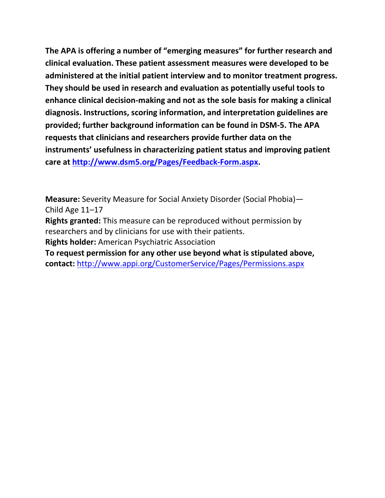**The APA is offering a number of "emerging measures" for further research and clinical evaluation. These patient assessment measures were developed to be administered at the initial patient interview and to monitor treatment progress. They should be used in research and evaluation as potentially useful tools to enhance clinical decision-making and not as the sole basis for making a clinical diagnosis. Instructions, scoring information, and interpretation guidelines are provided; further background information can be found in DSM-5. The APA requests that clinicians and researchers provide further data on the instruments' usefulness in characterizing patient status and improving patient care at [http://www.dsm5.org/Pages/Feedback-Form.aspx.](http://www.dsm5.org/Pages/Feedback-Form.aspx)**

**Measure:** Severity Measure for Social Anxiety Disorder (Social Phobia)— Child Age 11–17

**Rights granted:** This measure can be reproduced without permission by researchers and by clinicians for use with their patients.

**Rights holder:** American Psychiatric Association

**To request permission for any other use beyond what is stipulated above, contact:** <http://www.appi.org/CustomerService/Pages/Permissions.aspx>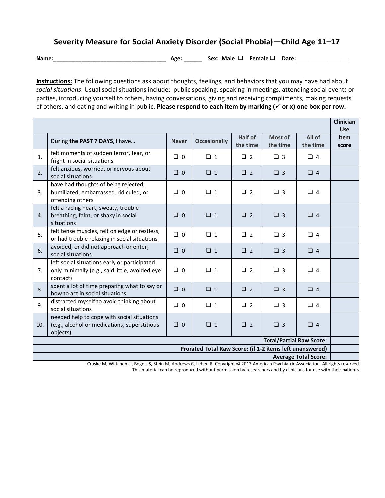## **Severity Measure for Social Anxiety Disorder (Social Phobia)—Child Age 11–17**

**Name:**\_\_\_\_\_\_\_\_\_\_\_\_\_\_\_\_\_\_\_\_\_\_\_\_\_\_\_\_\_\_\_\_\_\_\_\_ **Age:** \_\_\_\_\_\_ **Sex: Male Female Date:\_\_\_\_\_\_\_\_\_\_\_\_\_\_\_\_\_**

**Instructions:** The following questions ask about thoughts, feelings, and behaviors that you may have had about *social situations*. Usual social situations include: public speaking, speaking in meetings, attending social events or parties, introducing yourself to others, having conversations, giving and receiving compliments, making requests of others, and eating and writing in public. **Please respond to each item by marking ( or x) one box per row.** 

|                                                                                         |                                                                                                            |              |                     |                     |                     |                    | <b>Clinician</b><br><b>Use</b> |
|-----------------------------------------------------------------------------------------|------------------------------------------------------------------------------------------------------------|--------------|---------------------|---------------------|---------------------|--------------------|--------------------------------|
|                                                                                         | During the PAST 7 DAYS, I have                                                                             | <b>Never</b> | <b>Occasionally</b> | Half of<br>the time | Most of<br>the time | All of<br>the time | <b>Item</b><br>score           |
| 1.                                                                                      | felt moments of sudden terror, fear, or<br>fright in social situations                                     | $\Box$ 0     | $\Box$ 1            | $\Box$ 2            | $\Box$ 3            | $\Box$ 4           |                                |
| 2.                                                                                      | felt anxious, worried, or nervous about<br>social situations                                               | $\Box$ 0     | $\Box$ 1            | $\Box$ 2            | $\Box$ 3            | $\Box$ 4           |                                |
| 3.                                                                                      | have had thoughts of being rejected,<br>humiliated, embarrassed, ridiculed, or<br>offending others         | $\Box$ 0     | $\Box$ 1            | $\Box$ 2            | $\Box$ 3            | $\Box$ 4           |                                |
| 4.                                                                                      | felt a racing heart, sweaty, trouble<br>breathing, faint, or shaky in social<br>situations                 | $\Box$ 0     | $\Box$ 1            | $\Box$ 2            | $\Box$ 3            | $\Box$ 4           |                                |
| 5.                                                                                      | felt tense muscles, felt on edge or restless,<br>or had trouble relaxing in social situations              | $\Box$ 0     | $\Box$ 1            | $\Box$ 2            | $\Box$ 3            | $\Box$ 4           |                                |
| 6.                                                                                      | avoided, or did not approach or enter,<br>social situations                                                | $\Box$ 0     | $\Box$ 1            | $\Box$ 2            | $\Box$ 3            | $\Box$ 4           |                                |
| 7.                                                                                      | left social situations early or participated<br>only minimally (e.g., said little, avoided eye<br>contact) | $\Box$ 0     | $\Box$ 1            | $\Box$ 2            | $\Box$ 3            | $\Box$ 4           |                                |
| 8.                                                                                      | spent a lot of time preparing what to say or<br>how to act in social situations                            | $\Box$ 0     | $\Box$ 1            | $\Box$ 2            | $\Box$ 3            | $\Box$ 4           |                                |
| 9.                                                                                      | distracted myself to avoid thinking about<br>social situations                                             | $\Box$ 0     | $\Box$ 1            | $\Box$ 2            | $\Box$ 3            | $\Box$ 4           |                                |
| 10.                                                                                     | needed help to cope with social situations<br>(e.g., alcohol or medications, superstitious<br>objects)     | $\Box$ 0     | $\Box$ 1            | $\Box$ 2            | $\Box$ 3            | $\Box$ 4           |                                |
| <b>Total/Partial Raw Score:</b>                                                         |                                                                                                            |              |                     |                     |                     |                    |                                |
| Prorated Total Raw Score: (if 1-2 items left unanswered)<br><b>Average Total Score:</b> |                                                                                                            |              |                     |                     |                     |                    |                                |

Craske M, Wittchen U, Bogels S, Stein M, Andrews G, Lebeu R. Copyright © 2013 American Psychiatric Association. All rights reserved. This material can be reproduced without permission by researchers and by clinicians for use with their patients.

.